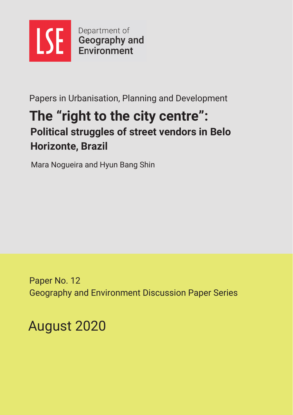

Papers in Urbanisation, Planning and Development

# The "right to the city centre": **Political struggles of street vendors in Belo Horizonte, Brazil**

Mara Nogueira and Hyun Bang Shin

Paper No. 12 **Geography and Environment Discussion Paper Series** 

August 2020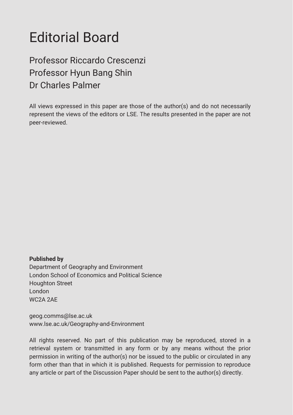# **Editorial Board**

# Professor Riccardo Crescenzi Professor Hyun Bang Shin Dr Charles Palmer

All views expressed in this paper are those of the author(s) and do not necessarily represent the views of the editors or LSE. The results presented in the paper are not peer-reviewed.

**Published by** Department of Geography and Environment London School of Economics and Political Science Houghton Street London **WC2A 2AF** 

geog.comms@lse.ac.uk www.lse.ac.uk/Geography-and-Environment

All rights reserved. No part of this publication may be reproduced, stored in a retrieval system or transmitted in any form or by any means without the prior permission in writing of the author(s) nor be issued to the public or circulated in any form other than that in which it is published. Requests for permission to reproduce any article or part of the Discussion Paper should be sent to the author(s) directly.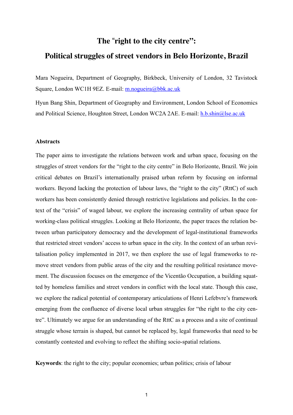# **The** "**right to the city centre":**

# **Political struggles of street vendors in Belo Horizonte, Brazil**

Mara Nogueira, Department of Geography, Birkbeck, University of London, 32 Tavistock Square, London WC1H 9EZ. E-mail: [m.nogueira@bbk.ac.uk](mailto:m.nogueira@bbk.ac.uk)

Hyun Bang Shin, Department of Geography and Environment, London School of Economics and Political Science, Houghton Street, London WC2A 2AE. E-mail: [h.b.shin@lse.ac.uk](mailto:h.b.shin@lse.ac.uk)

#### **Abstracts**

The paper aims to investigate the relations between work and urban space, focusing on the struggles of street vendors for the "right to the city centre" in Belo Horizonte, Brazil. We join critical debates on Brazil's internationally praised urban reform by focusing on informal workers. Beyond lacking the protection of labour laws, the "right to the city" (RttC) of such workers has been consistently denied through restrictive legislations and policies. In the context of the "crisis" of waged labour, we explore the increasing centrality of urban space for working-class political struggles. Looking at Belo Horizonte, the paper traces the relation between urban participatory democracy and the development of legal-institutional frameworks that restricted street vendors' access to urban space in the city. In the context of an urban revitalisation policy implemented in 2017, we then explore the use of legal frameworks to remove street vendors from public areas of the city and the resulting political resistance movement. The discussion focuses on the emergence of the Vicentão Occupation, a building squatted by homeless families and street vendors in conflict with the local state. Though this case, we explore the radical potential of contemporary articulations of Henri Lefebvre's framework emerging from the confluence of diverse local urban struggles for "the right to the city centre". Ultimately we argue for an understanding of the RttC as a process and a site of continual struggle whose terrain is shaped, but cannot be replaced by, legal frameworks that need to be constantly contested and evolving to reflect the shifting socio-spatial relations.

**Keywords**: the right to the city; popular economies; urban politics; crisis of labour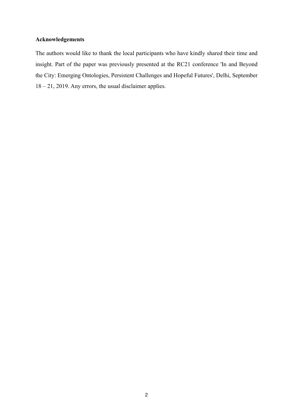## **Acknowledgements**

The authors would like to thank the local participants who have kindly shared their time and insight. Part of the paper was previously presented at the RC21 conference 'In and Beyond the City: Emerging Ontologies, Persistent Challenges and Hopeful Futures', Delhi, September 18 – 21, 2019. Any errors, the usual disclaimer applies.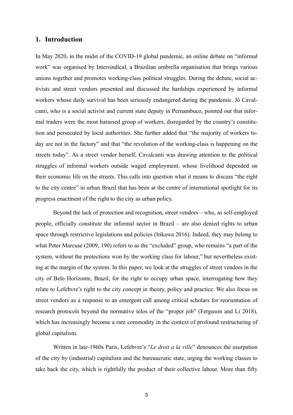#### **1. Introduction**

In May 2020, in the midst of the COVID-19 global pandemic, an online debate on "informal work" was organised by Intersindical, a Brazilian umbrella organisation that brings various unions together and promotes working-class political struggles. During the debate, social activists and street vendors presented and discussed the hardships experienced by informal workers whose daily survival has been seriously endangered during the pandemic. Jô Cavalcanti, who is a social activist and current state deputy in Pernambuco, pointed out that informal traders were the most harassed group of workers, disregarded by the country's constitution and persecuted by local authorities. She further added that "the majority of workers today are not in the factory" and that "the revolution of the working-class is happening on the streets today". As a street vendor herself, Cavalcanti was drawing attention to the political struggles of informal workers outside waged employment, whose livelihood depended on their economic life on the streets. This calls into question what it means to discuss "the right to the city centre" in urban Brazil that has been at the centre of international spotlight for its progress enactment of the right to the city as urban policy.

Beyond the lack of protection and recognition, street vendors – who, as self-employed people, officially constitute the informal sector in Brazil – are also denied rights to urban space through restrictive legislations and policies (Itikawa 2016). Indeed, they may belong to what Peter Marcuse (2009, 190) refers to as the "excluded" group, who remains "a part of the system, without the protections won by the working class for labour," but nevertheless existing at the margin of the system. In this paper, we look at the struggles of street vendors in the city of Belo Horizonte, Brazil, for the right to occupy urban space, interrogating how they relate to Lefebvre's right to the city concept in theory, policy and practice. We also focus on street vendors as a response to an emergent call among critical scholars for reorientation of research protocols beyond the normative telos of the "proper job" (Ferguson and Li 2018), which has increasingly become a rare commodity in the context of profound restructuring of global capitalism.

Written in late-1960s Paris, Lefebvre's "*Le droit a la ville*" denounces the usurpation of the city by (industrial) capitalism and the bureaucratic state, urging the working classes to take back the city, which is rightfully the product of their collective labour. More than fifty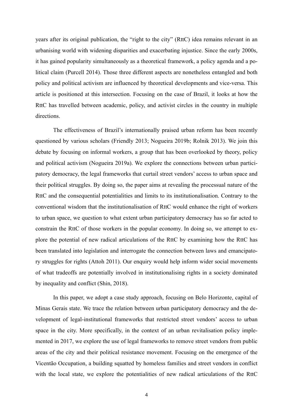years after its original publication, the "right to the city" (RttC) idea remains relevant in an urbanising world with widening disparities and exacerbating injustice. Since the early 2000s, it has gained popularity simultaneously as a theoretical framework, a policy agenda and a political claim (Purcell 2014). Those three different aspects are nonetheless entangled and both policy and political activism are influenced by theoretical developments and vice-versa. This article is positioned at this intersection. Focusing on the case of Brazil, it looks at how the RttC has travelled between academic, policy, and activist circles in the country in multiple directions.

The effectiveness of Brazil's internationally praised urban reform has been recently questioned by various scholars (Friendly 2013; Nogueira 2019b; Rolnik 2013). We join this debate by focusing on informal workers, a group that has been overlooked by theory, policy and political activism (Nogueira 2019a). We explore the connections between urban participatory democracy, the legal frameworks that curtail street vendors' access to urban space and their political struggles. By doing so, the paper aims at revealing the processual nature of the RttC and the consequential potentialities and limits to its institutionalisation. Contrary to the conventional wisdom that the institutionalisation of RttC would enhance the right of workers to urban space, we question to what extent urban participatory democracy has so far acted to constrain the RttC of those workers in the popular economy. In doing so, we attempt to explore the potential of new radical articulations of the RttC by examining how the RttC has been translated into legislation and interrogate the connection between laws and emancipatory struggles for rights (Attoh 2011). Our enquiry would help inform wider social movements of what tradeoffs are potentially involved in institutionalising rights in a society dominated by inequality and conflict (Shin, 2018).

In this paper, we adopt a case study approach, focusing on Belo Horizonte, capital of Minas Gerais state. We trace the relation between urban participatory democracy and the development of legal-institutional frameworks that restricted street vendors' access to urban space in the city. More specifically, in the context of an urban revitalisation policy implemented in 2017, we explore the use of legal frameworks to remove street vendors from public areas of the city and their political resistance movement. Focusing on the emergence of the Vicentão Occupation, a building squatted by homeless families and street vendors in conflict with the local state, we explore the potentialities of new radical articulations of the RttC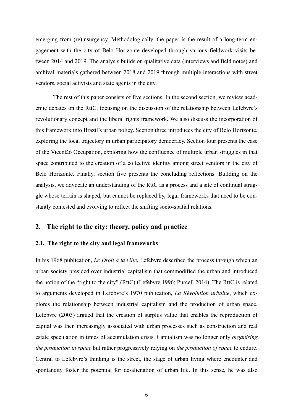emerging from (re)insurgency. Methodologically, the paper is the result of a long-term engagement with the city of Belo Horizonte developed through various fieldwork visits between 2014 and 2019. The analysis builds on qualitative data (interviews and field notes) and archival materials gathered between 2018 and 2019 through multiple interactions with street vendors, social activists and state agents in the city.

The rest of this paper consists of five sections. In the second section, we review academic debates on the RttC, focusing on the discussion of the relationship between Lefebvre's revolutionary concept and the liberal rights framework. We also discuss the incorporation of this framework into Brazil's urban policy. Section three introduces the city of Belo Horizonte, exploring the local trajectory in urban participatory democracy. Section four presents the case of the Vicentão Occupation, exploring how the confluence of multiple urban struggles in that space contributed to the creation of a collective identity among street vendors in the city of Belo Horizonte. Finally, section five presents the concluding reflections. Building on the analysis, we advocate an understanding of the RttC as a process and a site of continual struggle whose terrain is shaped, but cannot be replaced by, legal frameworks that need to be constantly contested and evolving to reflect the shifting socio-spatial relations.

# **2. The right to the city: theory, policy and practice**

#### **2.1. The right to the city and legal frameworks**

In his 1968 publication, *Le Droit à la ville*, Lefebvre described the process through which an urban society presided over industrial capitalism that commodified the urban and introduced the notion of the "right to the city" (RttC) (Lefebvre 1996; Purcell 2014). The RttC is related to arguments developed in Lefebvre's 1970 publication, *La Révolution urbaine*, which explores the relationship between industrial capitalism and the production of urban space. Lefebvre (2003) argued that the creation of surplus value that enables the reproduction of capital was then increasingly associated with urban processes such as construction and real estate speculation in times of accumulation crisis. Capitalism was no longer only *organising the production in space* but rather progressively relying on *the production of space* to endure. Central to Lefebvre's thinking is the street, the stage of urban living where encounter and spontaneity foster the potential for de-alienation of urban life. In this sense, he was also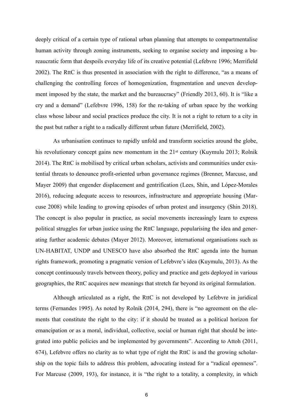deeply critical of a certain type of rational urban planning that attempts to compartmentalise human activity through zoning instruments, seeking to organise society and imposing a bureaucratic form that despoils everyday life of its creative potential (Lefebvre 1996; Merrifield 2002). The RttC is thus presented in association with the right to difference, "as a means of challenging the controlling forces of homogenization, fragmentation and uneven development imposed by the state, the market and the bureaucracy" (Friendly 2013, 60). It is "like a cry and a demand" (Lefebvre 1996, 158) for the re-taking of urban space by the working class whose labour and social practices produce the city. It is not a right to return to a city in the past but rather a right to a radically different urban future (Merrifield, 2002).

As urbanisation continues to rapidly unfold and transform societies around the globe, his revolutionary concept gains new momentum in the 21<sup>st</sup> century (Kuymulu 2013; Rolnik 2014). The RttC is mobilised by critical urban scholars, activists and communities under existential threats to denounce profit-oriented urban governance regimes (Brenner, Marcuse, and Mayer 2009) that engender displacement and gentrification (Lees, Shin, and López-Morales 2016), reducing adequate access to resources, infrastructure and appropriate housing (Marcuse 2008) while leading to growing episodes of urban protest and insurgency (Shin 2018). The concept is also popular in practice, as social movements increasingly learn to express political struggles for urban justice using the RttC language, popularising the idea and generating further academic debates (Mayer 2012). Moreover, international organisations such as UN-HABITAT, UNDP and UNESCO have also absorbed the RttC agenda into the human rights framework, promoting a pragmatic version of Lefebvre's idea (Kuymulu, 2013). As the concept continuously travels between theory, policy and practice and gets deployed in various geographies, the RttC acquires new meanings that stretch far beyond its original formulation.

Although articulated as a right, the RttC is not developed by Lefebvre in juridical terms (Fernandes 1995). As noted by Rolnik (2014, 294), there is "no agreement on the elements that constitute the right to the city: if it should be treated as a political horizon for emancipation or as a moral, individual, collective, social or human right that should be integrated into public policies and be implemented by governments". According to Attoh (2011, 674), Lefebvre offers no clarity as to what type of right the RttC is and the growing scholarship on the topic fails to address this problem, advocating instead for a "radical openness". For Marcuse (2009, 193), for instance, it is "the right to a totality, a complexity, in which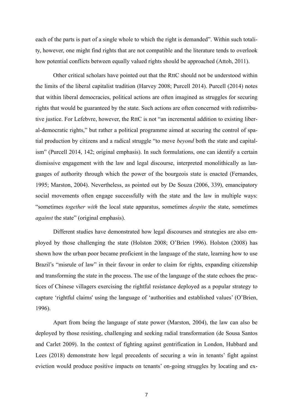each of the parts is part of a single whole to which the right is demanded". Within such totality, however, one might find rights that are not compatible and the literature tends to overlook how potential conflicts between equally valued rights should be approached (Attoh, 2011).

Other critical scholars have pointed out that the RttC should not be understood within the limits of the liberal capitalist tradition (Harvey 2008; Purcell 2014). Purcell (2014) notes that within liberal democracies, political actions are often imagined as struggles for securing rights that would be guaranteed by the state. Such actions are often concerned with redistributive justice. For Lefebvre, however, the RttC is not "an incremental addition to existing liberal-democratic rights," but rather a political programme aimed at securing the control of spatial production by citizens and a radical struggle "to move *beyond* both the state and capitalism" (Purcell 2014, 142; original emphasis). In such formulations, one can identify a certain dismissive engagement with the law and legal discourse, interpreted monolithically as languages of authority through which the power of the bourgeois state is enacted (Fernandes, 1995; Marston, 2004). Nevertheless, as pointed out by De Souza (2006, 339), emancipatory social movements often engage successfully with the state and the law in multiple ways: "sometimes *together with* the local state apparatus, sometimes *despite* the state, sometimes *against* the state" (original emphasis).

Different studies have demonstrated how legal discourses and strategies are also employed by those challenging the state (Holston 2008; O'Brien 1996). Holston (2008) has shown how the urban poor became proficient in the language of the state, learning how to use Brazil's "misrule of law" in their favour in order to claim for rights, expanding citizenship and transforming the state in the process. The use of the language of the state echoes the practices of Chinese villagers exercising the rightful resistance deployed as a popular strategy to capture 'rightful claims' using the language of 'authorities and established values' (O'Brien, 1996).

Apart from being the language of state power (Marston, 2004), the law can also be deployed by those resisting, challenging and seeking radial transformation (de Sousa Santos and Carlet 2009). In the context of fighting against gentrification in London, Hubbard and Lees (2018) demonstrate how legal precedents of securing a win in tenants' fight against eviction would produce positive impacts on tenants' on-going struggles by locating and ex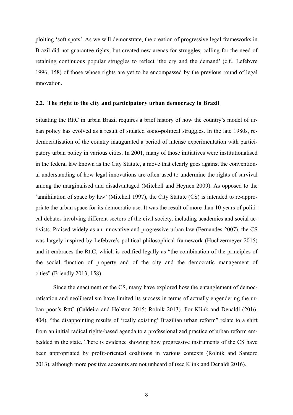ploiting 'soft spots'. As we will demonstrate, the creation of progressive legal frameworks in Brazil did not guarantee rights, but created new arenas for struggles, calling for the need of retaining continuous popular struggles to reflect 'the cry and the demand' (c.f., Lefebvre 1996, 158) of those whose rights are yet to be encompassed by the previous round of legal innovation.

#### **2.2. The right to the city and participatory urban democracy in Brazil**

Situating the RttC in urban Brazil requires a brief history of how the country's model of urban policy has evolved as a result of situated socio-political struggles. In the late 1980s, redemocratisation of the country inaugurated a period of intense experimentation with participatory urban policy in various cities. In 2001, many of those initiatives were institutionalised in the federal law known as the City Statute, a move that clearly goes against the conventional understanding of how legal innovations are often used to undermine the rights of survival among the marginalised and disadvantaged (Mitchell and Heynen 2009). As opposed to the 'annihilation of space by law' (Mitchell 1997), the City Statute (CS) is intended to re-appropriate the urban space for its democratic use. It was the result of more than 10 years of political debates involving different sectors of the civil society, including academics and social activists. Praised widely as an innovative and progressive urban law (Fernandes 2007), the CS was largely inspired by Lefebvre's political-philosophical framework (Huchzermeyer 2015) and it embraces the RttC, which is codified legally as "the combination of the principles of the social function of property and of the city and the democratic management of cities" (Friendly 2013, 158).

Since the enactment of the CS, many have explored how the entanglement of democratisation and neoliberalism have limited its success in terms of actually engendering the urban poor's RttC (Caldeira and Holston 2015; Rolnik 2013). For Klink and Denaldi (2016, 404), "the disappointing results of 'really existing' Brazilian urban reform" relate to a shift from an initial radical rights-based agenda to a professionalized practice of urban reform embedded in the state. There is evidence showing how progressive instruments of the CS have been appropriated by profit-oriented coalitions in various contexts (Rolnik and Santoro 2013), although more positive accounts are not unheard of (see Klink and Denaldi 2016).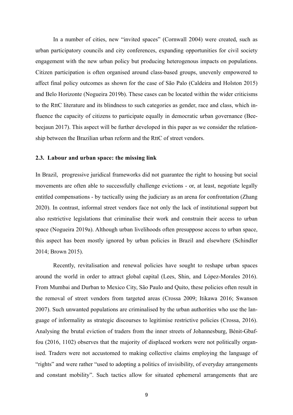In a number of cities, new "invited spaces" (Cornwall 2004) were created, such as urban participatory councils and city conferences, expanding opportunities for civil society engagement with the new urban policy but producing heterogenous impacts on populations. Citizen participation is often organised around class-based groups, unevenly empowered to affect final policy outcomes as shown for the case of São Palo (Caldeira and Holston 2015) and Belo Horizonte (Nogueira 2019b). These cases can be located within the wider criticisms to the RttC literature and its blindness to such categories as gender, race and class, which influence the capacity of citizens to participate equally in democratic urban governance (Beebeejaun 2017). This aspect will be further developed in this paper as we consider the relationship between the Brazilian urban reform and the RttC of street vendors.

#### **2.3. Labour and urban space: the missing link**

In Brazil, progressive juridical frameworks did not guarantee the right to housing but social movements are often able to successfully challenge evictions - or, at least, negotiate legally entitled compensations - by tactically using the judiciary as an arena for confrontation (Zhang 2020). In contrast, informal street vendors face not only the lack of institutional support but also restrictive legislations that criminalise their work and constrain their access to urban space (Nogueira 2019a). Although urban livelihoods often presuppose access to urban space, this aspect has been mostly ignored by urban policies in Brazil and elsewhere (Schindler 2014; Brown 2015).

Recently, revitalisation and renewal policies have sought to reshape urban spaces around the world in order to attract global capital (Lees, Shin, and López-Morales 2016). From Mumbai and Durban to Mexico City, São Paulo and Quito, these policies often result in the removal of street vendors from targeted areas (Crossa 2009; Itikawa 2016; Swanson 2007). Such unwanted populations are criminalised by the urban authorities who use the language of informality as strategic discourses to legitimise restrictive policies (Crossa, 2016). Analysing the brutal eviction of traders from the inner streets of Johannesburg, Bénit-Gbaffou (2016, 1102) observes that the majority of displaced workers were not politically organised. Traders were not accustomed to making collective claims employing the language of "rights" and were rather "used to adopting a politics of invisibility, of everyday arrangements and constant mobility". Such tactics allow for situated ephemeral arrangements that are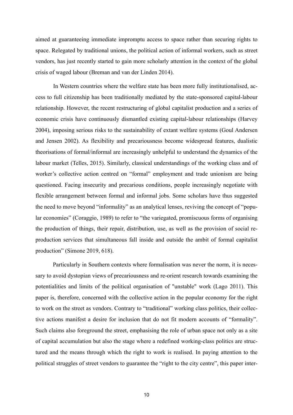aimed at guaranteeing immediate impromptu access to space rather than securing rights to space. Relegated by traditional unions, the political action of informal workers, such as street vendors, has just recently started to gain more scholarly attention in the context of the global crisis of waged labour (Breman and van der Linden 2014).

In Western countries where the welfare state has been more fully institutionalised, access to full citizenship has been traditionally mediated by the state-sponsored capital-labour relationship. However, the recent restructuring of global capitalist production and a series of economic crisis have continuously dismantled existing capital-labour relationships (Harvey 2004), imposing serious risks to the sustainability of extant welfare systems (Goul Andersen and Jensen 2002). As flexibility and precariousness become widespread features, dualistic theorisations of formal/informal are increasingly unhelpful to understand the dynamics of the labour market (Telles, 2015). Similarly, classical understandings of the working class and of worker's collective action centred on "formal" employment and trade unionism are being questioned. Facing insecurity and precarious conditions, people increasingly negotiate with flexible arrangement between formal and informal jobs. Some scholars have thus suggested the need to move beyond "informality" as an analytical lenses, reviving the concept of "popular economies" (Coraggio, 1989) to refer to "the variegated, promiscuous forms of organising the production of things, their repair, distribution, use, as well as the provision of social reproduction services that simultaneous fall inside and outside the ambit of formal capitalist production" (Simone 2019, 618).

Particularly in Southern contexts where formalisation was never the norm, it is necessary to avoid dystopian views of precariousness and re-orient research towards examining the potentialities and limits of the political organisation of "unstable" work (Lago 2011). This paper is, therefore, concerned with the collective action in the popular economy for the right to work on the street as vendors. Contrary to "traditional" working class politics, their collective actions manifest a desire for inclusion that do not fit modern accounts of "formality". Such claims also foreground the street, emphasising the role of urban space not only as a site of capital accumulation but also the stage where a redefined working-class politics are structured and the means through which the right to work is realised. In paying attention to the political struggles of street vendors to guarantee the "right to the city centre", this paper inter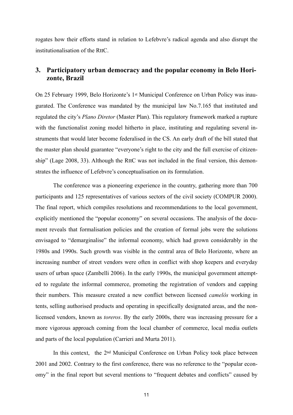rogates how their efforts stand in relation to Lefebvre's radical agenda and also disrupt the institutionalisation of the RttC.

# **3. Participatory urban democracy and the popular economy in Belo Horizonte, Brazil**

On 25 February 1999, Belo Horizonte's 1st Municipal Conference on Urban Policy was inaugurated. The Conference was mandated by the municipal law No.7.165 that instituted and regulated the city's *Plano Diretor* (Master Plan). This regulatory framework marked a rupture with the functionalist zoning model hitherto in place, instituting and regulating several instruments that would later become federalised in the CS. An early draft of the bill stated that the master plan should guarantee "everyone's right to the city and the full exercise of citizenship" (Lage 2008, 33). Although the RttC was not included in the final version, this demonstrates the influence of Lefebvre's conceptualisation on its formulation.

The conference was a pioneering experience in the country, gathering more than 700 participants and 125 representatives of various sectors of the civil society (COMPUR 2000). The final report, which compiles resolutions and recommendations to the local government, explicitly mentioned the "popular economy" on several occasions. The analysis of the document reveals that formalisation policies and the creation of formal jobs were the solutions envisaged to "demarginalise" the informal economy, which had grown considerably in the 1980s and 1990s. Such growth was visible in the central area of Belo Horizonte, where an increasing number of street vendors were often in conflict with shop keepers and everyday users of urban space (Zambelli 2006). In the early 1990s, the municipal government attempted to regulate the informal commerce, promoting the registration of vendors and capping their numbers. This measure created a new conflict between licensed *camelôs* working in tents, selling authorised products and operating in specifically designated areas, and the nonlicensed vendors, known as *toreros*. By the early 2000s, there was increasing pressure for a more vigorous approach coming from the local chamber of commerce, local media outlets and parts of the local population (Carrieri and Murta 2011).

In this context, the 2nd Municipal Conference on Urban Policy took place between 2001 and 2002. Contrary to the first conference, there was no reference to the "popular economy" in the final report but several mentions to "frequent debates and conflicts" caused by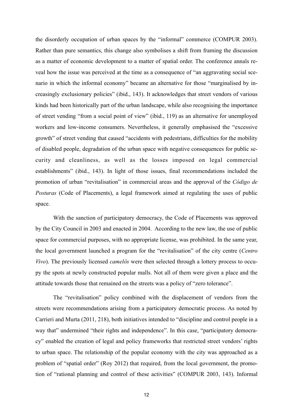the disorderly occupation of urban spaces by the "informal" commerce (COMPUR 2003). Rather than pure semantics, this change also symbolises a shift from framing the discussion as a matter of economic development to a matter of spatial order. The conference annals reveal how the issue was perceived at the time as a consequence of "an aggravating social scenario in which the informal economy" became an alternative for those "marginalised by increasingly exclusionary policies" (ibid., 143). It acknowledges that street vendors of various kinds had been historically part of the urban landscape, while also recognising the importance of street vending "from a social point of view" (ibid., 119) as an alternative for unemployed workers and low-income consumers. Nevertheless, it generally emphasised the "excessive growth" of street vending that caused "accidents with pedestrians, difficulties for the mobility of disabled people, degradation of the urban space with negative consequences for public security and cleanliness, as well as the losses imposed on legal commercial establishments" (ibid., 143). In light of those issues, final recommendations included the promotion of urban "revitalisation" in commercial areas and the approval of the *Código de Posturas* (Code of Placements), a legal framework aimed at regulating the uses of public space.

With the sanction of participatory democracy, the Code of Placements was approved by the City Council in 2003 and enacted in 2004. According to the new law, the use of public space for commercial purposes, with no appropriate license, was prohibited. In the same year, the local government launched a program for the "revitalisation" of the city centre (*Centro Vivo*). The previously licensed *camelôs* were then selected through a lottery process to occupy the spots at newly constructed popular malls. Not all of them were given a place and the attitude towards those that remained on the streets was a policy of "zero tolerance".

The "revitalisation" policy combined with the displacement of vendors from the streets were recommendations arising from a participatory democratic process. As noted by Carrieri and Murta (2011, 218), both initiatives intended to "discipline and control people in a way that" undermined "their rights and independence". In this case, "participatory democracy" enabled the creation of legal and policy frameworks that restricted street vendors' rights to urban space. The relationship of the popular economy with the city was approached as a problem of "spatial order" (Roy 2012) that required, from the local government, the promotion of "rational planning and control of these activities" (COMPUR 2003, 143). Informal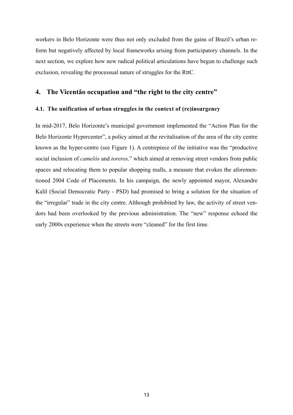workers in Belo Horizonte were thus not only excluded from the gains of Brazil's urban reform but negatively affected by local frameworks arising from participatory channels. In the next section, we explore how new radical political articulations have begun to challenge such exclusion, revealing the processual nature of struggles for the RttC.

### **4. The Vicentão occupation and "the right to the city centre"**

#### **4.1. The unification of urban struggles in the context of (re)insurgency**

In mid-2017, Belo Horizonte's municipal government implemented the "Action Plan for the Belo Horizonte Hypercenter", a policy aimed at the revitalisation of the area of the city centre known as the hyper-centre (see Figure 1). A centrepiece of the initiative was the "productive social inclusion of *camelôs* and *toreros,*" which aimed at removing street vendors from public spaces and relocating them to popular shopping malls, a measure that evokes the aforementioned 2004 Code of Placements. In his campaign, the newly appointed mayor, Alexandre Kalil (Social Democratic Party - PSD) had promised to bring a solution for the situation of the "irregular" trade in the city centre. Although prohibited by law, the activity of street vendors had been overlooked by the previous administration. The "new" response echoed the early 2000s experience when the streets were "cleaned" for the first time.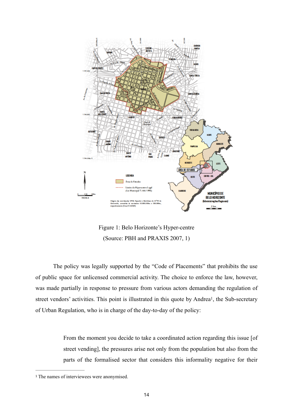

<span id="page-15-1"></span>Figure 1: Belo Horizonte's Hyper-centre (Source: PBH and PRAXIS 2007, 1)

The policy was legally supported by the "Code of Placements" that prohibits the use of public space for unlicensed commercial activity. The choice to enforce the law, however, was made partially in response to pressure from various actors demanding the regulation of street vendors' activities. This point is illustrated in this quote by Andrea<sup>1</sup>[,](#page-15-0) the Sub-secretary of Urban Regulation, who is in charge of the day-to-day of the policy:

> From the moment you decide to take a coordinated action regarding this issue [of street vending], the pressures arise not only from the population but also from the parts of the formalised sector that considers this informality negative for their

<span id="page-15-0"></span><sup>&</sup>lt;sup>[1](#page-15-1)</sup> The names of interviewees were anonymised.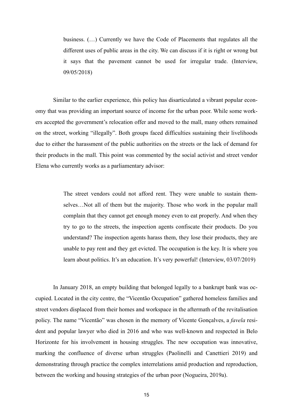business. (…) Currently we have the Code of Placements that regulates all the different uses of public areas in the city. We can discuss if it is right or wrong but it says that the pavement cannot be used for irregular trade. (Interview, 09/05/2018)

Similar to the earlier experience, this policy has disarticulated a vibrant popular economy that was providing an important source of income for the urban poor. While some workers accepted the government's relocation offer and moved to the mall, many others remained on the street, working "illegally". Both groups faced difficulties sustaining their livelihoods due to either the harassment of the public authorities on the streets or the lack of demand for their products in the mall. This point was commented by the social activist and street vendor Elena who currently works as a parliamentary advisor:

> The street vendors could not afford rent. They were unable to sustain themselves…Not all of them but the majority. Those who work in the popular mall complain that they cannot get enough money even to eat properly. And when they try to go to the streets, the inspection agents confiscate their products. Do you understand? The inspection agents harass them, they lose their products, they are unable to pay rent and they get evicted. The occupation is the key. It is where you learn about politics. It's an education. It's very powerful! (Interview, 03/07/2019)

In January 2018, an empty building that belonged legally to a bankrupt bank was occupied. Located in the city centre, the "Vicentão Occupation" gathered homeless families and street vendors displaced from their homes and workspace in the aftermath of the revitalisation policy. The name "Vicentão" was chosen in the memory of Vicente Gonçalves, a *favela* resident and popular lawyer who died in 2016 and who was well-known and respected in Belo Horizonte for his involvement in housing struggles. The new occupation was innovative, marking the confluence of diverse urban struggles (Paolinelli and Canettieri 2019) and demonstrating through practice the complex interrelations amid production and reproduction, between the working and housing strategies of the urban poor (Nogueira, 2019a).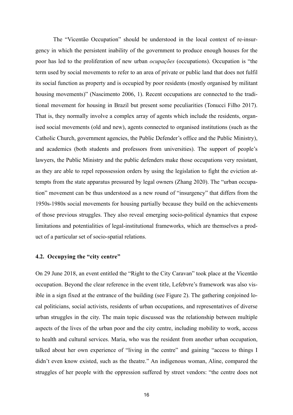The "Vicentão Occupation" should be understood in the local context of re-insurgency in which the persistent inability of the government to produce enough houses for the poor has led to the proliferation of new urban *ocupações* (occupations). Occupation is "the term used by social movements to refer to an area of private or public land that does not fulfil its social function as property and is occupied by poor residents (mostly organised by militant housing movements)" (Nascimento 2006, 1). Recent occupations are connected to the traditional movement for housing in Brazil but present some peculiarities (Tonucci Filho 2017). That is, they normally involve a complex array of agents which include the residents, organised social movements (old and new), agents connected to organised institutions (such as the Catholic Church, government agencies, the Public Defender's office and the Public Ministry), and academics (both students and professors from universities). The support of people's lawyers, the Public Ministry and the public defenders make those occupations very resistant, as they are able to repel repossession orders by using the legislation to fight the eviction attempts from the state apparatus pressured by legal owners (Zhang 2020). The "urban occupation" movement can be thus understood as a new round of "insurgency" that differs from the 1950s-1980s social movements for housing partially because they build on the achievements of those previous struggles. They also reveal emerging socio-political dynamics that expose limitations and potentialities of legal-institutional frameworks, which are themselves a product of a particular set of socio-spatial relations.

#### **4.2. Occupying the "city centre"**

On 29 June 2018, an event entitled the "Right to the City Caravan" took place at the Vicentão occupation. Beyond the clear reference in the event title, Lefebvre's framework was also visible in a sign fixed at the entrance of the building (see Figure 2). The gathering conjoined local politicians, social activists, residents of urban occupations, and representatives of diverse urban struggles in the city. The main topic discussed was the relationship between multiple aspects of the lives of the urban poor and the city centre, including mobility to work, access to health and cultural services. Maria, who was the resident from another urban occupation, talked about her own experience of "living in the centre" and gaining "access to things I didn't even know existed, such as the theatre." An indigenous woman, Aline, compared the struggles of her people with the oppression suffered by street vendors: "the centre does not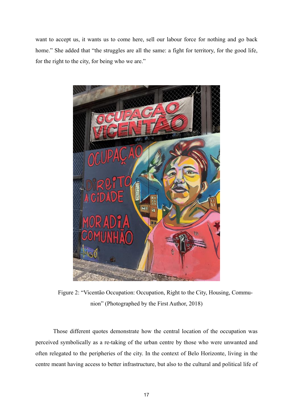want to accept us, it wants us to come here, sell our labour force for nothing and go back home." She added that "the struggles are all the same: a fight for territory, for the good life, for the right to the city, for being who we are."



Figure 2: "Vicentão Occupation: Occupation, Right to the City, Housing, Communion" (Photographed by the First Author, 2018)

Those different quotes demonstrate how the central location of the occupation was perceived symbolically as a re-taking of the urban centre by those who were unwanted and often relegated to the peripheries of the city. In the context of Belo Horizonte, living in the centre meant having access to better infrastructure, but also to the cultural and political life of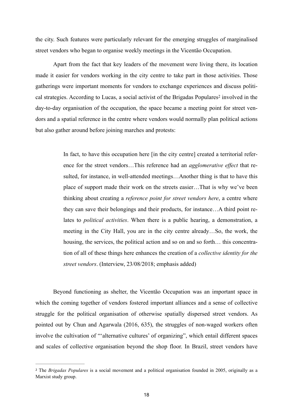the city. Such features were particularly relevant for the emerging struggles of marginalised street vendors who began to organise weekly meetings in the Vicentão Occupation.

Apart from the fact that key leaders of the movement were living there, its location made it easier for vendors working in the city centre to take part in those activities. Those gatherings were important moments for vendors to exchange experiences and discuss political [s](#page-19-0)trategies. According to Lucas, a social activist of the Brigadas Populares<sup>[2](#page-19-0)</sup> involved in the day-to-day organisation of the occupation, the space became a meeting point for street vendors and a spatial reference in the centre where vendors would normally plan political actions but also gather around before joining marches and protests:

> <span id="page-19-1"></span>In fact, to have this occupation here [in the city centre] created a territorial reference for the street vendors…This reference had an *agglomerative effect* that resulted, for instance, in well-attended meetings…Another thing is that to have this place of support made their work on the streets easier…That is why we've been thinking about creating a *reference point for street vendors here*, a centre where they can save their belongings and their products, for instance…A third point relates to *political activities*. When there is a public hearing, a demonstration, a meeting in the City Hall, you are in the city centre already…So, the work, the housing, the services, the political action and so on and so forth… this concentration of all of these things here enhances the creation of a *collective identity for the street vendors*. (Interview, 23/08/2018; emphasis added)

Beyond functioning as shelter, the Vicentão Occupation was an important space in which the coming together of vendors fostered important alliances and a sense of collective struggle for the political organisation of otherwise spatially dispersed street vendors. As pointed out by Chun and Agarwala (2016, 635), the struggles of non-waged workers often involve the cultivation of "'alternative cultures' of organizing", which entail different spaces and scales of collective organisation beyond the shop floor. In Brazil, street vendors have

<span id="page-19-0"></span><sup>&</sup>lt;sup>[2](#page-19-1)</sup> The *Brigadas Populares* is a social movement and a political organisation founded in 2005, originally as a Marxist study group.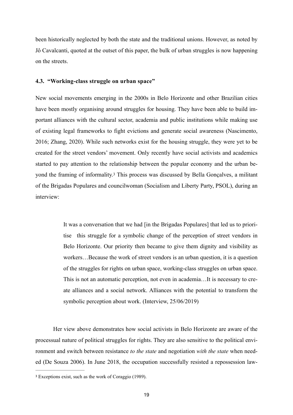been historically neglected by both the state and the traditional unions. However, as noted by Jô Cavalcanti, quoted at the outset of this paper, the bulk of urban struggles is now happening on the streets.

#### **4.3. "Working-class struggle on urban space"**

New social movements emerging in the 2000s in Belo Horizonte and other Brazilian cities have been mostly organising around struggles for housing. They have been able to build important alliances with the cultural sector, academia and public institutions while making use of existing legal frameworks to fight evictions and generate social awareness (Nascimento, 2016; Zhang, 2020). While such networks exist for the housing struggle, they were yet to be created for the street vendors' movement. Only recently have social activists and academics started to pay attention to the relationship between the popular economy and the urban be-yondthe framing of informality.<sup>[3](#page-20-0)</sup> This process was discussed by Bella Gonçalves, a militant of the Brigadas Populares and councilwoman (Socialism and Liberty Party, PSOL), during an interview:

> <span id="page-20-1"></span>It was a conversation that we had [in the Brigadas Populares] that led us to prioritise this struggle for a symbolic change of the perception of street vendors in Belo Horizonte. Our priority then became to give them dignity and visibility as workers…Because the work of street vendors is an urban question, it is a question of the struggles for rights on urban space, working-class struggles on urban space. This is not an automatic perception, not even in academia…It is necessary to create alliances and a social network. Alliances with the potential to transform the symbolic perception about work. (Interview, 25/06/2019)

Her view above demonstrates how social activists in Belo Horizonte are aware of the processual nature of political struggles for rights. They are also sensitive to the political environment and switch between resistance *to the state* and negotiation *with the state* when needed (De Souza 2006). In June 2018, the occupation successfully resisted a repossession law-

<span id="page-20-0"></span>Exceptions exist, such as the work of Coraggio (1989). [3](#page-20-1)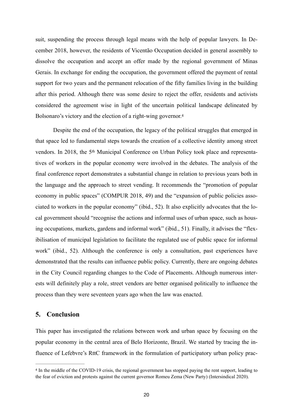suit, suspending the process through legal means with the help of popular lawyers. In December 2018, however, the residents of Vicentão Occupation decided in general assembly to dissolve the occupation and accept an offer made by the regional government of Minas Gerais. In exchange for ending the occupation, the government offered the payment of rental support for two years and the permanent relocation of the fifty families living in the building after this period. Although there was some desire to reject the offer, residents and activists considered the agreement wise in light of the uncertain political landscape delineated by Bolsonaro's victory and the election of a right-wing governor.<sup>4</sup>

<span id="page-21-1"></span>Despite the end of the occupation, the legacy of the political struggles that emerged in that space led to fundamental steps towards the creation of a collective identity among street vendors. In 2018, the 5th Municipal Conference on Urban Policy took place and representatives of workers in the popular economy were involved in the debates. The analysis of the final conference report demonstrates a substantial change in relation to previous years both in the language and the approach to street vending. It recommends the "promotion of popular economy in public spaces" (COMPUR 2018, 49) and the "expansion of public policies associated to workers in the popular economy" (ibid., 52). It also explicitly advocates that the local government should "recognise the actions and informal uses of urban space, such as housing occupations, markets, gardens and informal work" (ibid., 51). Finally, it advises the "flexibilisation of municipal legislation to facilitate the regulated use of public space for informal work" (ibid., 52). Although the conference is only a consultation, past experiences have demonstrated that the results can influence public policy. Currently, there are ongoing debates in the City Council regarding changes to the Code of Placements. Although numerous interests will definitely play a role, street vendors are better organised politically to influence the process than they were seventeen years ago when the law was enacted.

#### **5. Conclusion**

This paper has investigated the relations between work and urban space by focusing on the popular economy in the central area of Belo Horizonte, Brazil. We started by tracing the influence of Lefebvre's RttC framework in the formulation of participatory urban policy prac-

<span id="page-21-0"></span><sup>&</sup>lt;sup>[4](#page-21-1)</sup> In the middle of the COVID-19 crisis, the regional government has stopped paying the rent support, leading to the fear of eviction and protests against the current governor Romeu Zema (New Party) (Intersindical 2020).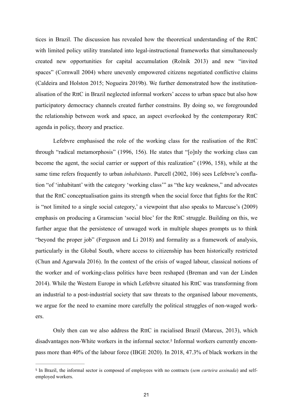tices in Brazil. The discussion has revealed how the theoretical understanding of the RttC with limited policy utility translated into legal-instructional frameworks that simultaneously created new opportunities for capital accumulation (Rolnik 2013) and new "invited spaces" (Cornwall 2004) where unevenly empowered citizens negotiated conflictive claims (Caldeira and Holston 2015; Nogueira 2019b). We further demonstrated how the institutionalisation of the RttC in Brazil neglected informal workers' access to urban space but also how participatory democracy channels created further constrains. By doing so, we foregrounded the relationship between work and space, an aspect overlooked by the contemporary RttC agenda in policy, theory and practice.

Lefebvre emphasised the role of the working class for the realisation of the RttC through "radical metamorphosis" (1996, 156). He states that "[o]nly the working class can become the agent, the social carrier or support of this realization" (1996, 158), while at the same time refers frequently to urban *inhabitants*. Purcell (2002, 106) sees Lefebvre's conflation "of 'inhabitant' with the category 'working class'" as "the key weakness," and advocates that the RttC conceptualisation gains its strength when the social force that fights for the RttC is "not limited to a single social category,' a viewpoint that also speaks to Marcuse's (2009) emphasis on producing a Gramscian 'social bloc' for the RttC struggle. Building on this, we further argue that the persistence of unwaged work in multiple shapes prompts us to think "beyond the proper job" (Ferguson and Li 2018) and formality as a framework of analysis, particularly in the Global South, where access to citizenship has been historically restricted (Chun and Agarwala 2016). In the context of the crisis of waged labour, classical notions of the worker and of working-class politics have been reshaped (Breman and van der Linden 2014). While the Western Europe in which Lefebvre situated his RttC was transforming from an industrial to a post-industrial society that saw threats to the organised labour movements, we argue for the need to examine more carefully the political struggles of non-waged workers.

<span id="page-22-1"></span>Only then can we also address the RttC in racialised Brazil (Marcus, 2013), which disadvantages non-White workers in the informal sector.[5](#page-22-0) Informal workers currently encompass more than 40% of the labour force (IBGE 2020). In 2018, 47.3% of black workers in the

<span id="page-22-0"></span><sup>&</sup>lt;sup>[5](#page-22-1)</sup> In Brazil, the informal sector is composed of employees with no contracts (*sem carteira assinada*) and selfemployed workers.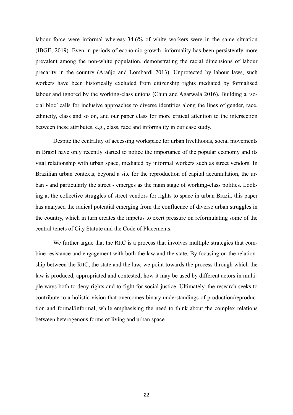labour force were informal whereas 34.6% of white workers were in the same situation (IBGE, 2019). Even in periods of economic growth, informality has been persistently more prevalent among the non-white population, demonstrating the racial dimensions of labour precarity in the country (Araújo and Lombardi 2013). Unprotected by labour laws, such workers have been historically excluded from citizenship rights mediated by formalised labour and ignored by the working-class unions (Chun and Agarwala 2016). Building a 'social bloc' calls for inclusive approaches to diverse identities along the lines of gender, race, ethnicity, class and so on, and our paper class for more critical attention to the intersection between these attributes, e.g., class, race and informality in our case study.

Despite the centrality of accessing workspace for urban livelihoods, social movements in Brazil have only recently started to notice the importance of the popular economy and its vital relationship with urban space, mediated by informal workers such as street vendors. In Brazilian urban contexts, beyond a site for the reproduction of capital accumulation, the urban - and particularly the street - emerges as the main stage of working-class politics. Looking at the collective struggles of street vendors for rights to space in urban Brazil, this paper has analysed the radical potential emerging from the confluence of diverse urban struggles in the country, which in turn creates the impetus to exert pressure on reformulating some of the central tenets of City Statute and the Code of Placements.

We further argue that the RttC is a process that involves multiple strategies that combine resistance and engagement with both the law and the state. By focusing on the relationship between the RttC, the state and the law, we point towards the process through which the law is produced, appropriated and contested; how it may be used by different actors in multiple ways both to deny rights and to fight for social justice. Ultimately, the research seeks to contribute to a holistic vision that overcomes binary understandings of production/reproduction and formal/informal, while emphasising the need to think about the complex relations between heterogenous forms of living and urban space.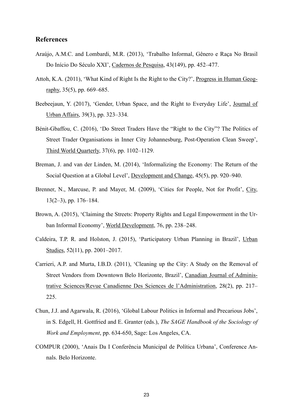### **References**

- Araújo, A.M.C. and Lombardi, M.R. (2013), 'Trabalho Informal, Gênero e Raça No Brasil Do Início Do Século XXI', Cadernos de Pesquisa, 43(149), pp. 452–477.
- Attoh, K.A. (2011), 'What Kind of Right Is the Right to the City?', Progress in Human Geography,  $35(5)$ , pp. 669–685.
- Beebeejaun, Y. (2017), 'Gender, Urban Space, and the Right to Everyday Life', Journal of Urban Affairs, 39(3), pp. 323–334.
- Bénit-Gbaffou, C. (2016), 'Do Street Traders Have the "Right to the City"? The Politics of Street Trader Organisations in Inner City Johannesburg, Post-Operation Clean Sweep', Third World Quarterly, 37(6), pp. 1102–1129.
- Breman, J. and van der Linden, M. (2014), 'Informalizing the Economy: The Return of the Social Question at a Global Level', Development and Change, 45(5), pp. 920–940.
- Brenner, N., Marcuse, P. and Mayer, M. (2009), 'Cities for People, Not for Profit', City, 13(2–3), pp. 176–184.
- Brown, A. (2015), 'Claiming the Streets: Property Rights and Legal Empowerment in the Urban Informal Economy', World Development, 76, pp. 238–248.
- Caldeira, T.P. R. and Holston, J. (2015), 'Participatory Urban Planning in Brazil', Urban Studies, 52(11), pp. 2001–2017.
- Carrieri, A.P. and Murta, I.B.D. (2011), 'Cleaning up the City: A Study on the Removal of Street Vendors from Downtown Belo Horizonte, Brazil', Canadian Journal of Administrative Sciences/Revue Canadienne Des Sciences de l'Administration, 28(2), pp. 217– 225.
- Chun, J.J. and Agarwala, R. (2016), 'Global Labour Politics in Informal and Precarious Jobs', in S. Edgell, H. Gottfried and E. Granter (eds.), *The SAGE Handbook of the Sociology of Work and Employment*, pp. 634-650, Sage: Los Angeles, CA.
- COMPUR (2000), 'Anais Da I Conferência Municipal de Política Urbana', Conference Annals. Belo Horizonte.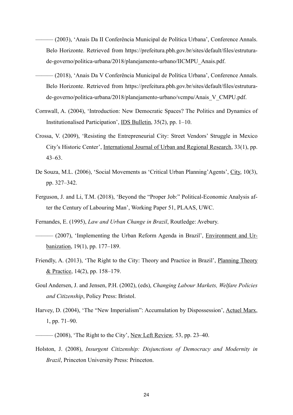- ——— (2003), 'Anais Da II Conferência Municipal de Política Urbana', Conference Annals. Belo Horizonte. Retrieved from https://prefeitura.pbh.gov.br/sites/default/files/estruturade-governo/politica-urbana/2018/planejamento-urbano/IICMPU\_Anais.pdf.
- ——— (2018), 'Anais Da V Conferência Municipal de Política Urbana', Conference Annals. Belo Horizonte. Retrieved from https://prefeitura.pbh.gov.br/sites/default/files/estruturade-governo/politica-urbana/2018/planejamento-urbano/vcmpu/Anais\_V\_CMPU.pdf.
- Cornwall, A. (2004), 'Introduction: New Democratic Spaces? The Politics and Dynamics of Institutionalised Participation', IDS Bulletin, 35(2), pp. 1–10.
- Crossa, V. (2009), 'Resisting the Entrepreneurial City: Street Vendors' Struggle in Mexico City's Historic Center', International Journal of Urban and Regional Research, 33(1), pp. 43–63.
- De Souza, M.L. (2006), 'Social Movements as 'Critical Urban Planning'Agents', City, 10(3), pp. 327–342.
- Ferguson, J. and Li, T.M. (2018), 'Beyond the "Proper Job:" Political-Economic Analysis after the Century of Labouring Man', Working Paper 51, PLAAS, UWC.

Fernandes, E. (1995), *Law and Urban Change in Brazil*, Routledge: Avebury.

- -(2007), 'Implementing the Urban Reform Agenda in Brazil', Environment and Urbanization, 19(1), pp. 177–189.
- Friendly, A. (2013), 'The Right to the City: Theory and Practice in Brazil', Planning Theory & Practice, 14(2), pp. 158–179.
- Goul Andersen, J. and Jensen, P.H. (2002), (eds), *Changing Labour Markets, Welfare Policies and Citizenship*, Policy Press: Bristol.
- Harvey, D. (2004), 'The "New Imperialism": Accumulation by Dispossession', Actuel Marx, 1, pp. 71–90.
- ——— (2008), 'The Right to the City', New Left Review*,* 53, pp. 23–40.
- Holston, J. (2008), *Insurgent Citizenship: Disjunctions of Democracy and Modernity in Brazil*, Princeton University Press: Princeton.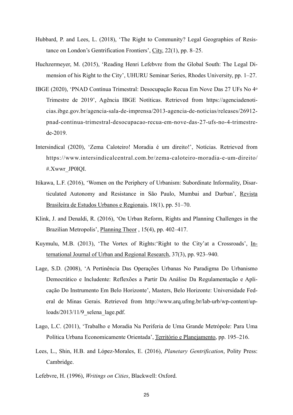- Hubbard, P. and Lees, L. (2018), 'The Right to Community? Legal Geographies of Resistance on London's Gentrification Frontiers', City, 22(1), pp. 8–25.
- Huchzermeyer, M. (2015), 'Reading Henri Lefebvre from the Global South: The Legal Dimension of his Right to the City', UHURU Seminar Series, Rhodes University, pp. 1–27.
- IBGE (2020), 'PNAD Contínua Trimestral: Desocupação Recua Em Nove Das 27 UFs No 4o Trimestre de 2019', Agência IBGE Notíticas. Retrieved from https://agenciadenoticias.ibge.gov.br/agencia-sala-de-imprensa/2013-agencia-de-noticias/releases/26912 pnad-continua-trimestral-desocupacao-recua-em-nove-das-27-ufs-no-4-trimestrede-2019.
- Intersindical (2020), 'Zema Caloteiro! Moradia é um direito!', Notícias. Retrieved from [https://www.intersindicalcentral.com.br/zema-caloteiro-moradia-e-um-direito/](https://www.intersindicalcentral.com.br/zema-caloteiro-moradia-e-um-direito/%23.Xwwr_JP0lQI) [#.Xwwr\\_JP0lQI](https://www.intersindicalcentral.com.br/zema-caloteiro-moradia-e-um-direito/%23.Xwwr_JP0lQI).
- Itikawa, L.F. (2016), 'Women on the Periphery of Urbanism: Subordinate Informality, Disarticulated Autonomy and Resistance in São Paulo, Mumbai and Durban', Revista Brasileira de Estudos Urbanos e Regionais, 18(1), pp. 51–70.
- Klink, J. and Denaldi, R. (2016), 'On Urban Reform, Rights and Planning Challenges in the Brazilian Metropolis', Planning Theor , 15(4), pp. 402–417.
- Kuymulu, M.B. (2013), 'The Vortex of Rights:'Right to the City'at a Crossroads', International Journal of Urban and Regional Research, 37(3), pp. 923–940.
- Lage, S.D. (2008), 'A Pertinência Das Operações Urbanas No Paradigma Do Urbanismo Democrático e Includente: Reflexões a Partir Da Análise Da Regulamentação e Aplicação Do Instrumento Em Belo Horizonte', Masters, Belo Horizonte: Universidade Federal de Minas Gerais. Retrieved from http://www.arq.ufmg.br/lab-urb/wp-content/uploads/2013/11/9\_selena\_lage.pdf.
- Lago, L.C. (2011), 'Trabalho e Moradia Na Periferia de Uma Grande Metrópole: Para Uma Política Urbana Economicamente Orientada', Território e Planejamento, pp. 195–216.
- Lees, L., Shin, H.B. and López-Morales, E. (2016), *Planetary Gentrification*, Polity Press: Cambridge.
- Lefebvre, H. (1996), *Writings on Cities*, Blackwell: Oxford.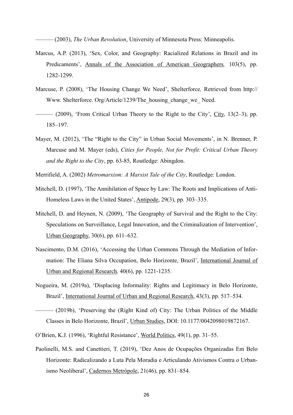——— (2003), *The Urban Revolution*, University of Minnesota Press: Minneapolis.

- Marcus, A.P. (2013), 'Sex, Color, and Geography: Racialized Relations in Brazil and its Predicaments', Annals of the Association of American Geographers*,* 103(5), pp. 1282-1299.
- Marcuse, P. (2008), 'The Housing Change We Need', Shelterforce*,* Retrieved from http:// Www. Shelterforce. Org/Article/1239/The housing change we Need.
- ——— (2009), 'From Critical Urban Theory to the Right to the City', City, 13(2–3), pp. 185–197.
- Mayer, M. (2012), 'The "Right to the City" in Urban Social Movements', in N. Brenner, P. Marcuse and M. Mayer (eds), *Cities for People, Not for Profit: Critical Urban Theory and the Right to the City*, pp. 63-85, Routledge: Abingdon.
- Merrifield, A. (2002) *Metromarxism: A Marxist Tale of the City*, Routledge: London.
- Mitchell, D. (1997), 'The Annihilation of Space by Law: The Roots and Implications of Anti-Homeless Laws in the United States', Antipode, 29(3), pp. 303–335.
- Mitchell, D. and Heynen, N. (2009), 'The Geography of Survival and the Right to the City: Speculations on Surveillance, Legal Innovation, and the Criminalization of Intervention', Urban Geography, 30(6), pp. 611–632.
- Nascimento, D.M. (2016), 'Accessing the Urban Commons Through the Mediation of Information: The Eliana Silva Occupation, Belo Horizonte, Brazil', International Journal of Urban and Regional Research*,* 40(6), pp. 1221-1235.
- Nogueira, M. (2019a), 'Displacing Informality: Rights and Legitimacy in Belo Horizonte, Brazil', International Journal of Urban and Regional Research, 43(3), pp. 517–534.
- ——— (2019b), 'Preserving the (Right Kind of) City: The Urban Politics of the Middle Classes in Belo Horizonte, Brazil', Urban Studies, DOI: 10.1177/0042098019872167.
- O'Brien, K.J. (1996), 'Rightful Resistance', World Politics, 49(1), pp. 31–55.
- Paolinelli, M.S. and Canettieri, T. (2019), 'Dez Anos de Ocupações Organizadas Em Belo Horizonte: Radicalizando a Luta Pela Moradia e Articulando Ativismos Contra o Urbanismo Neoliberal', Cadernos Metrópole, 21(46), pp. 831–854.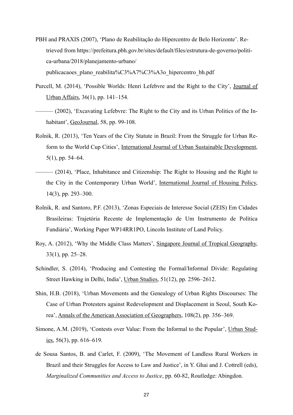- PBH and PRAXIS (2007), 'Plano de Reabilitação do Hipercentro de Belo Horizonte'. Retrieved from https://prefeitura.pbh.gov.br/sites/default/files/estrutura-de-governo/politica-urbana/2018/planejamento-urbano/ publicacaoes\_plano\_reabilita%C3%A7%C3%A3o\_hipercentro\_bh.pdf
- Purcell, M. (2014), 'Possible Worlds: Henri Lefebvre and the Right to the City', Journal of Urban Affairs, 36(1), pp. 141–154.
- ——— (2002), 'Excavating Lefebvre: The Right to the City and its Urban Politics of the Inhabitant', GeoJournal, 58, pp. 99-108.
- Rolnik, R. (2013), 'Ten Years of the City Statute in Brazil: From the Struggle for Urban Reform to the World Cup Cities', International Journal of Urban Sustainable Development, 5(1), pp. 54–64.
- ——— (2014), 'Place, Inhabitance and Citizenship: The Right to Housing and the Right to the City in the Contemporary Urban World', International Journal of Housing Policy, 14(3), pp. 293–300.
- Rolnik, R. and Santoro, P.F. (2013), 'Zonas Especiais de Interesse Social (ZEIS) Em Cidades Brasileiras: Trajetória Recente de Implementação de Um Instrumento de Política Fundiária', Working Paper WP14RR1PO, Lincoln Institute of Land Policy.
- Roy, A. (2012), 'Why the Middle Class Matters', Singapore Journal of Tropical Geography, 33(1), pp. 25–28.
- Schindler, S. (2014), 'Producing and Contesting the Formal/Informal Divide: Regulating Street Hawking in Delhi, India', Urban Studies, 51(12), pp. 2596–2612.
- Shin, H.B. (2018), 'Urban Movements and the Genealogy of Urban Rights Discourses: The Case of Urban Protesters against Redevelopment and Displacement in Seoul, South Korea', Annals of the American Association of Geographers, 108(2), pp. 356–369.
- Simone, A.M. (2019), 'Contests over Value: From the Informal to the Popular', Urban Studies, 56(3), pp. 616–619.
- de Sousa Santos, B. and Carlet, F. (2009), 'The Movement of Landless Rural Workers in Brazil and their Struggles for Access to Law and Justice', in Y. Ghai and J. Cottrell (eds), *Marginalized Communities and Access to Justice*, pp. 60-82, Routledge: Abingdon.